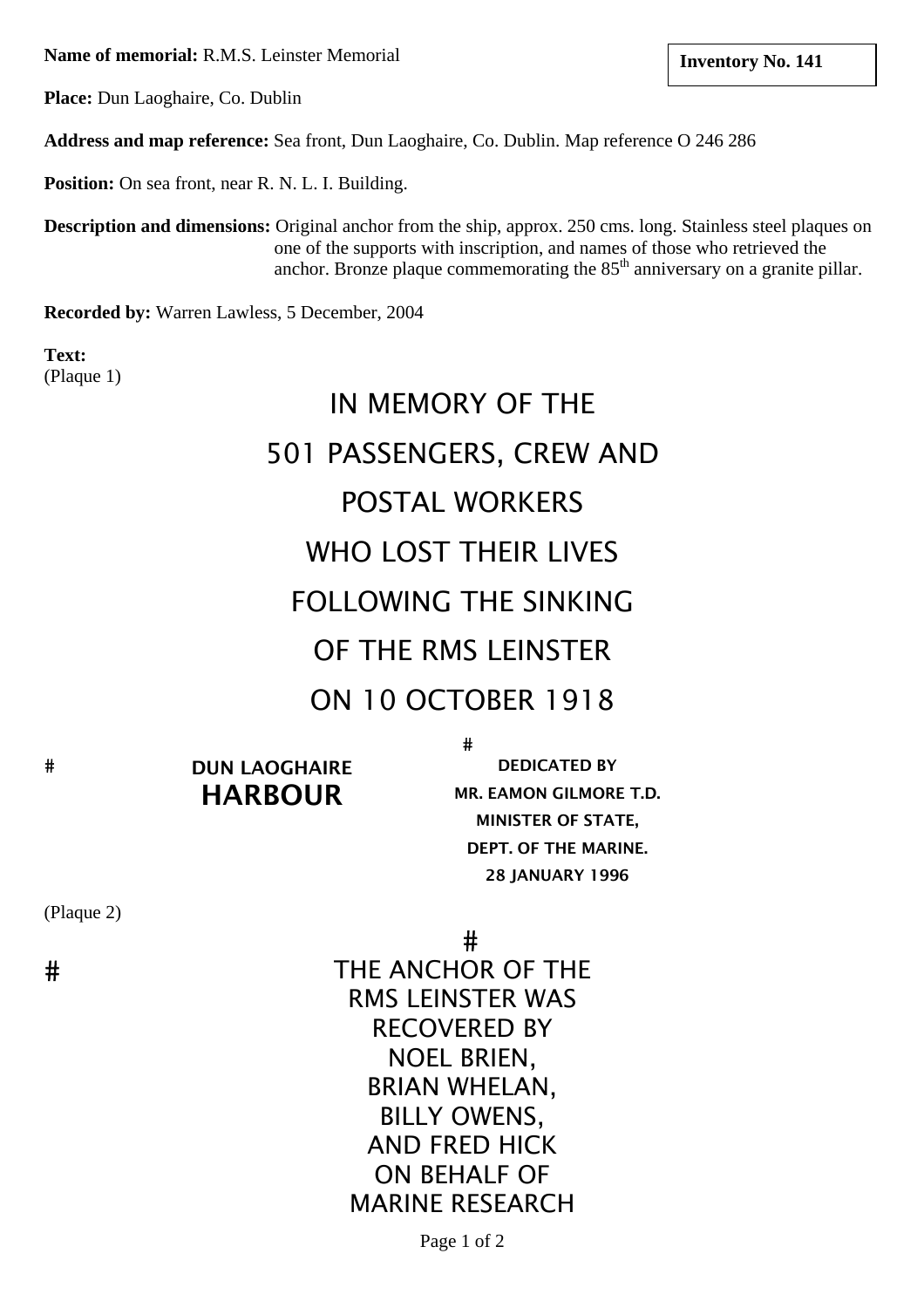**Name of memorial:** R.M.S. Leinster Memorial **and The Line of Memorial <b>Inventory No. 141 line in the line of the line of the line of the line of the line of the line of the line of the line of the line of the line of th** 

**Place:** Dun Laoghaire, Co. Dublin

**Address and map reference:** Sea front, Dun Laoghaire, Co. Dublin. Map reference O 246 286

**Position:** On sea front, near R. N. L. I. Building.

**Description and dimensions:** Original anchor from the ship, approx. 250 cms. long. Stainless steel plaques on one of the supports with inscription, and names of those who retrieved the anchor. Bronze plaque commemorating the  $85<sup>th</sup>$  anniversary on a granite pillar.

**Recorded by:** Warren Lawless, 5 December, 2004

**Text:** (Plaque 1)

# IN MEMORY OF THE 501 PASSENGERS, CREW AND POSTAL WORKERS WHO LOST THEIR LIVES FOLLOWING THE SINKING OF THE RMS LEINSTER ON 10 OCTOBER 1918

 $#$ 

DUN LAOGHAIRE HARBOUR

 MR. EAMON GILMORE T.D. Ĩ, DEPT. OF THE MARINE. DEDICATED BY MINISTER OF STATE, 28 JANUARY 1996

(Plaque 2)

 $#$ 

 $#$  THE ANCHOR OF THE RMS LEINSTER WAS RECOVERED BY NOEL BRIEN, BRIAN WHELAN, BILLY OWENS, AND FRED HICK ON BEHALF OF MARINE RESEARCH